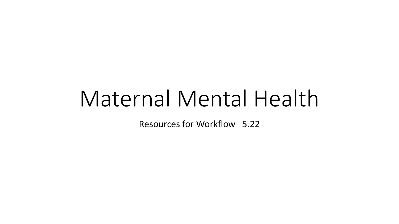# Maternal Mental Health

Resources for Workflow 5.22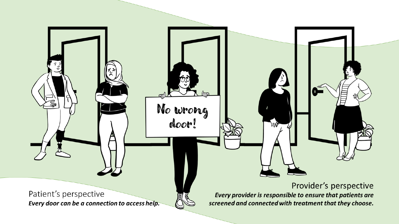Patient's perspective Every door can be a connection to access help.

No wrong

### Provider's perspective

Every provider is responsible to ensure that patients are screened and connected with treatment that they choose.

MY,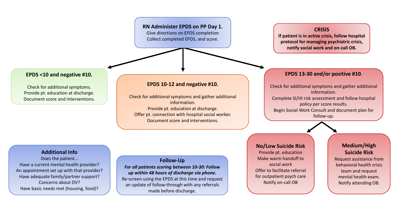#### **RN Administer EPDS on PP Day 1.** Give directions on EPDS completion Collect completed EPDS, and score.

**CRISIS**

**If patient is in active crisis, follow hospital protocol for managing psychiatric crisis, notify social work and on-call OB.**

#### **EPDS <10 and negative #10.**

Check for additional symptoms. Provide pt. education at discharge. Document score and interventions.

#### **EPDS 10-12 and negative #10.**

Check for additional symptoms and gather additional information. Provide pt. education at discharge. Offer pt. connection with hospital social worker. Document score and interventions.

#### **EPDS 13-30 and/or positive #10.**

Check for additional symptoms and gather additional information. Complete SI/HI risk assessment and follow hospital policy per score results. Begin Social Work Consult and document plan for follow-up.

#### **Additional Info**

Does the patient… Have a current mental health provider? An appointment set up with that provider? Have adequate family/partner support? Concerns about DV? Have basic needs met (housing, food)?

**Follow-Up** *For all patients scoring between 10-30: Follow up within 48 hours of discharge via phone.* Re-screen using the EPDS at this time and request an update of follow-through with any referrals made before discharge.

#### **No/Low Suicide Risk**

Provide pt. education Make warm handoff to social work Offer to facilitate referral for outpatient psych care Notify on-call OB

#### **Medium/High Suicide Risk**

Request assistance from behavioral health crisis team and request mental health exam. Notify attending OB.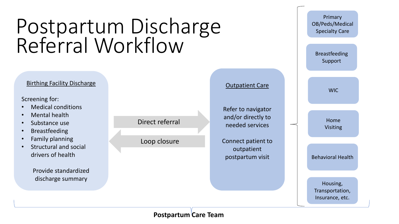## Birthing Facility Discharge Postpartum Discharge Referral Workflow Outpatient Care

Screening for:

- Medical conditions
- Mental health
- Substance use
- Breastfeeding
- Family planning
- Structural and social drivers of health

Provide standardized discharge summary





### **Postpartum Care Team**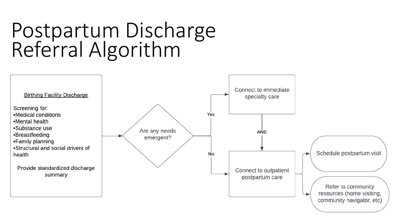## Postpartum Discharge Referral Algorithm